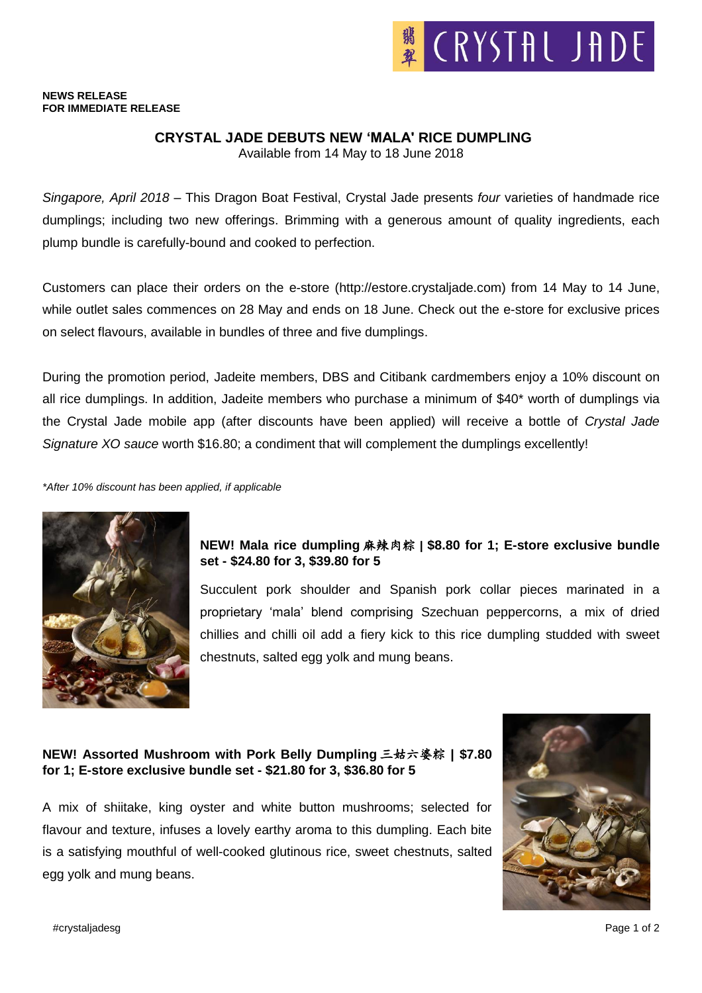#### **NEWS RELEASE FOR IMMEDIATE RELEASE**

## **CRYSTAL JADE DEBUTS NEW 'MALA' RICE DUMPLING**

Available from 14 May to 18 June 2018

*Singapore, April 2018* – This Dragon Boat Festival, Crystal Jade presents *four* varieties of handmade rice dumplings; including two new offerings. Brimming with a generous amount of quality ingredients, each plump bundle is carefully-bound and cooked to perfection.

Customers can place their orders on the e-store (http://estore.crystaljade.com) from 14 May to 14 June, while outlet sales commences on 28 May and ends on 18 June. Check out the e-store for exclusive prices on select flavours, available in bundles of three and five dumplings.

During the promotion period, Jadeite members, DBS and Citibank cardmembers enjoy a 10% discount on all rice dumplings. In addition, Jadeite members who purchase a minimum of \$40\* worth of dumplings via the Crystal Jade mobile app (after discounts have been applied) will receive a bottle of *Crystal Jade Signature XO sauce* worth \$16.80; a condiment that will complement the dumplings excellently!

*\*After 10% discount has been applied, if applicable*



# **NEW! Mala rice dumpling** 麻辣肉粽 **| \$8.80 for 1; E-store exclusive bundle set - \$24.80 for 3, \$39.80 for 5**

Succulent pork shoulder and Spanish pork collar pieces marinated in a proprietary 'mala' blend comprising Szechuan peppercorns, a mix of dried chillies and chilli oil add a fiery kick to this rice dumpling studded with sweet chestnuts, salted egg yolk and mung beans.

# **NEW! Assorted Mushroom with Pork Belly Dumpling** 三姑六婆粽 **| \$7.80 for 1; E-store exclusive bundle set - \$21.80 for 3, \$36.80 for 5**

A mix of shiitake, king oyster and white button mushrooms; selected for flavour and texture, infuses a lovely earthy aroma to this dumpling. Each bite is a satisfying mouthful of well-cooked glutinous rice, sweet chestnuts, salted egg yolk and mung beans.